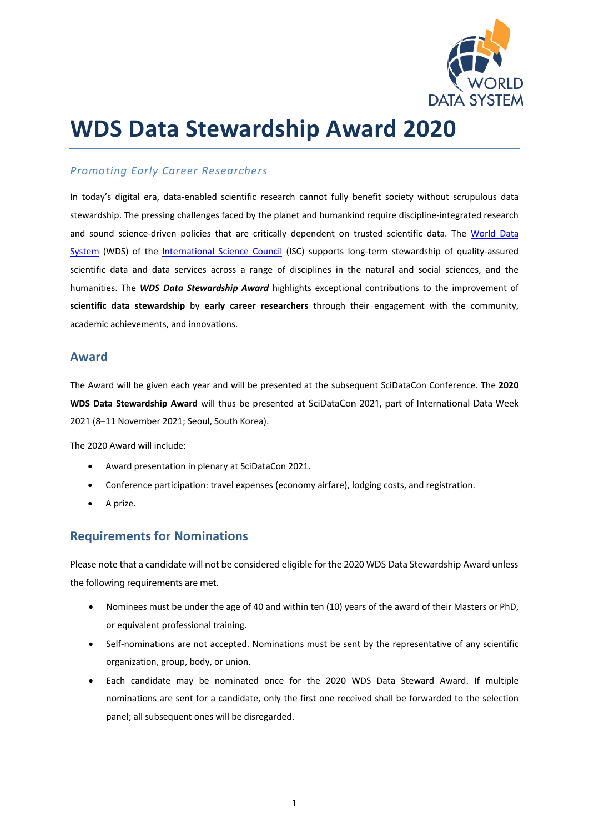

# **WDS Data Stewardship Award 2020**

#### *Promoting Early Career Researchers*

In today's digital era, data-enabled scientific research cannot fully benefit society without scrupulous data stewardship. The pressing challenges faced by the planet and humankind require discipline-integrated research and sound science-driven policies that are critically dependent on trusted scientific data. The [World Data](https://www.worlddatasystem.org/)  [System](https://www.worlddatasystem.org/) (WDS) of the [International Science Council](https://council.science/) (ISC) supports long-term stewardship of quality-assured scientific data and data services across a range of disciplines in the natural and social sciences, and the humanities. The *WDS Data Stewardship Award* highlights exceptional contributions to the improvement of **scientific data stewardship** by **early career researchers** through their engagement with the community, academic achievements, and innovations.

#### **Award**

The Award will be given each year and will be presented at the subsequent SciDataCon Conference. The **2020 WDS Data Stewardship Award** will thus be presented at SciDataCon 2021, part of International Data Week 2021 (8–11 November 2021; Seoul, South Korea).

The 2020 Award will include:

- Award presentation in plenary at SciDataCon 2021.
- Conference participation: travel expenses (economy airfare), lodging costs, and registration.
- A prize.

### **Requirements for Nominations**

Please note that a candidate will not be considered eligible for the 2020 WDS Data Stewardship Award unless the following requirements are met.

- Nominees must be under the age of 40 and within ten (10) years of the award of their Masters or PhD, or equivalent professional training.
- Self-nominations are not accepted. Nominations must be sent by the representative of any scientific organization, group, body, or union.
- Each candidate may be nominated once for the 2020 WDS Data Steward Award. If multiple nominations are sent for a candidate, only the first one received shall be forwarded to the selection panel; all subsequent ones will be disregarded.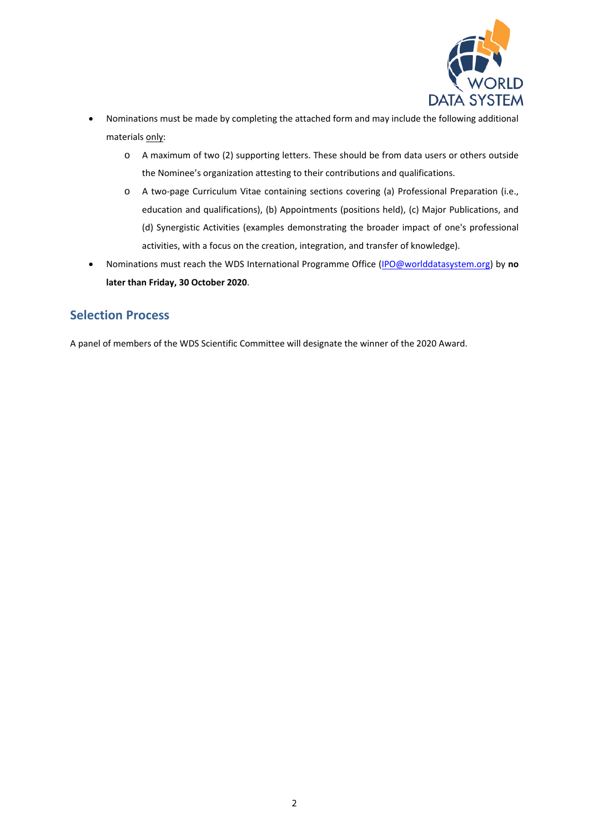

- Nominations must be made by completing the attached form and may include the following additional materials only:
	- o A maximum of two (2) supporting letters. These should be from data users or others outside the Nominee's organization attesting to their contributions and qualifications.
	- o A two-page Curriculum Vitae containing sections covering (a) Professional Preparation (i.e., education and qualifications), (b) Appointments (positions held), (c) Major Publications, and (d) Synergistic Activities (examples demonstrating the broader impact of one's professional activities, with a focus on the creation, integration, and transfer of knowledge).
- Nominations must reach the WDS International Programme Office [\(IPO@worlddatasystem.org\)](mailto:ipo@worlddatasystem.org) by **no later than Friday, 30 October 2020**.

## **Selection Process**

A panel of members of the WDS Scientific Committee will designate the winner of the 2020 Award.